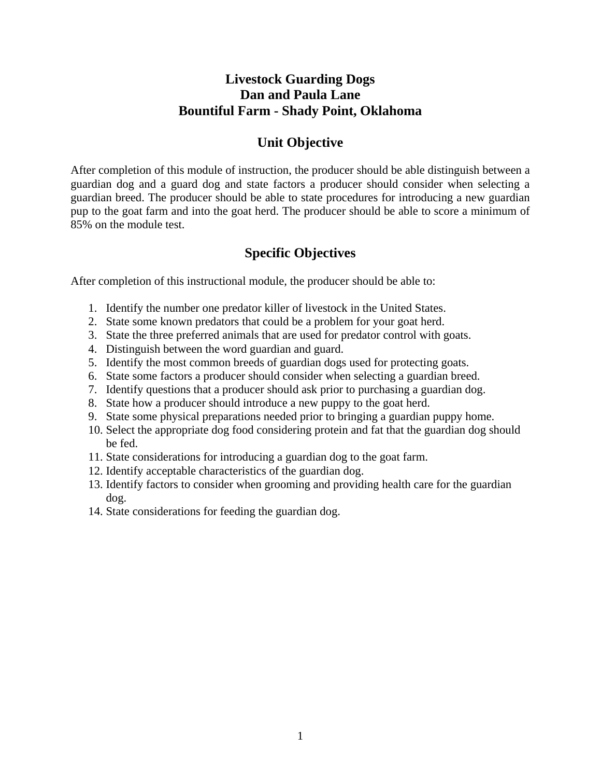# **Livestock Guarding Dogs Dan and Paula Lane Bountiful Farm - Shady Point, Oklahoma**

# **Unit Objective**

After completion of this module of instruction, the producer should be able distinguish between a guardian dog and a guard dog and state factors a producer should consider when selecting a guardian breed. The producer should be able to state procedures for introducing a new guardian pup to the goat farm and into the goat herd. The producer should be able to score a minimum of 85% on the module test.

# **Specific Objectives**

After completion of this instructional module, the producer should be able to:

- 1. Identify the number one predator killer of livestock in the United States.
- 2. State some known predators that could be a problem for your goat herd.
- 3. State the three preferred animals that are used for predator control with goats.
- 4. Distinguish between the word guardian and guard.
- 5. Identify the most common breeds of guardian dogs used for protecting goats.
- 6. State some factors a producer should consider when selecting a guardian breed.
- 7. Identify questions that a producer should ask prior to purchasing a guardian dog.
- 8. State how a producer should introduce a new puppy to the goat herd.
- 9. State some physical preparations needed prior to bringing a guardian puppy home.
- 10. Select the appropriate dog food considering protein and fat that the guardian dog should be fed.
- 11. State considerations for introducing a guardian dog to the goat farm.
- 12. Identify acceptable characteristics of the guardian dog.
- 13. Identify factors to consider when grooming and providing health care for the guardian dog.
- 14. State considerations for feeding the guardian dog.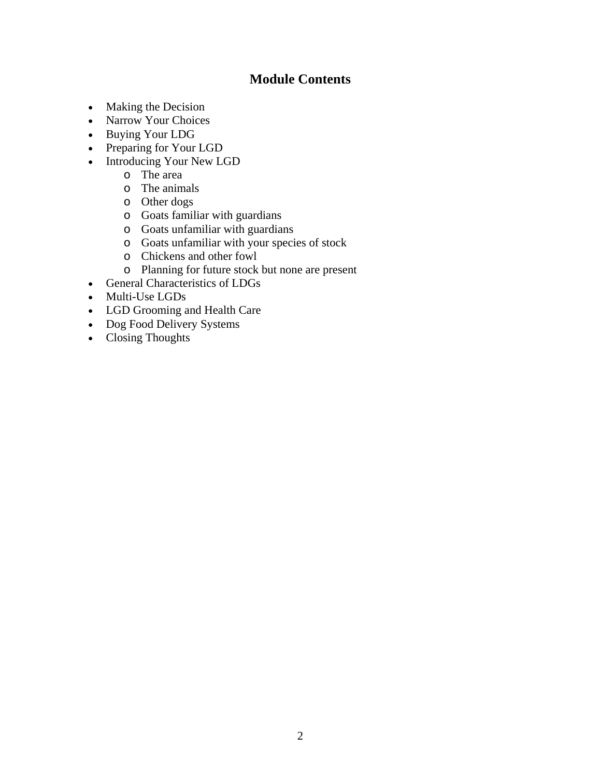# **Module Contents**

- Making the Decision
- [Narrow Your Choices](#page-3-0)
- [Buying Your LDG](#page-5-0)
- [Preparing for Your LGD](#page-7-0)
- Introducing Your New LGD
	- o [The area](#page-11-0)
	- o [The animals](#page-12-0)
	- o [Other dogs](#page-12-0)
	- o [Goats familiar with guardians](#page-12-0)
	- o [Goats unfamiliar with guardians](#page-13-0)
	- o [Goats unfamiliar with your species of stock](#page-14-0)
	- o [Chickens and other fowl](#page-14-0)
	- o [Planning for future stock but none are present](#page-14-0)
- [General Characteristics of LDGs](#page-14-0)
- [Multi-Use LGDs](#page-16-0)
- [LGD Grooming and Health Care](#page-18-0)
- Dog Food Delivery Systems
- Closing Thoughts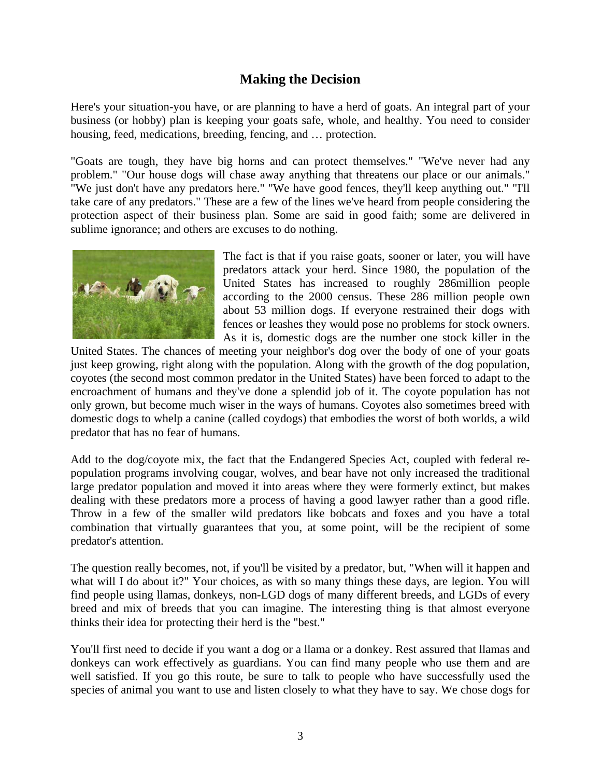## **Making the Decision**

<span id="page-2-0"></span>Here's your situation-you have, or are planning to have a herd of goats. An integral part of your business (or hobby) plan is keeping your goats safe, whole, and healthy. You need to consider housing, feed, medications, breeding, fencing, and … protection.

"Goats are tough, they have big horns and can protect themselves." "We've never had any problem." "Our house dogs will chase away anything that threatens our place or our animals." "We just don't have any predators here." "We have good fences, they'll keep anything out." "I'll take care of any predators." These are a few of the lines we've heard from people considering the protection aspect of their business plan. Some are said in good faith; some are delivered in sublime ignorance; and others are excuses to do nothing.



The fact is that if you raise goats, sooner or later, you will have predators attack your herd. Since 1980, the population of the United States has increased to roughly 286million people according to the 2000 census. These 286 million people own about 53 million dogs. If everyone restrained their dogs with fences or leashes they would pose no problems for stock owners. As it is, domestic dogs are the number one stock killer in the

United States. The chances of meeting your neighbor's dog over the body of one of your goats just keep growing, right along with the population. Along with the growth of the dog population, coyotes (the second most common predator in the United States) have been forced to adapt to the encroachment of humans and they've done a splendid job of it. The coyote population has not only grown, but become much wiser in the ways of humans. Coyotes also sometimes breed with domestic dogs to whelp a canine (called coydogs) that embodies the worst of both worlds, a wild predator that has no fear of humans.

Add to the dog/coyote mix, the fact that the Endangered Species Act, coupled with federal repopulation programs involving cougar, wolves, and bear have not only increased the traditional large predator population and moved it into areas where they were formerly extinct, but makes dealing with these predators more a process of having a good lawyer rather than a good rifle. Throw in a few of the smaller wild predators like bobcats and foxes and you have a total combination that virtually guarantees that you, at some point, will be the recipient of some predator's attention.

The question really becomes, not, if you'll be visited by a predator, but, "When will it happen and what will I do about it?" Your choices, as with so many things these days, are legion. You will find people using llamas, donkeys, non-LGD dogs of many different breeds, and LGDs of every breed and mix of breeds that you can imagine. The interesting thing is that almost everyone thinks their idea for protecting their herd is the "best."

You'll first need to decide if you want a dog or a llama or a donkey. Rest assured that llamas and donkeys can work effectively as guardians. You can find many people who use them and are well satisfied. If you go this route, be sure to talk to people who have successfully used the species of animal you want to use and listen closely to what they have to say. We chose dogs for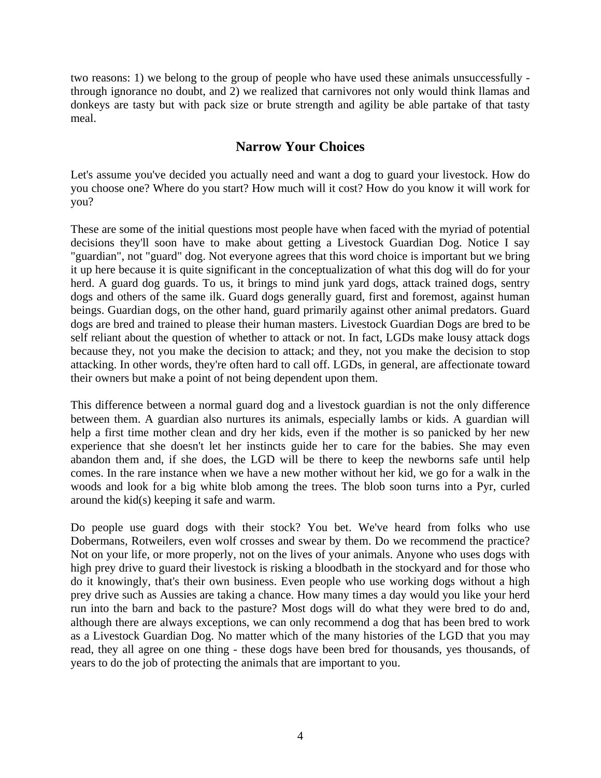<span id="page-3-0"></span>two reasons: 1) we belong to the group of people who have used these animals unsuccessfully through ignorance no doubt, and 2) we realized that carnivores not only would think llamas and donkeys are tasty but with pack size or brute strength and agility be able partake of that tasty meal.

### **Narrow Your Choices**

Let's assume you've decided you actually need and want a dog to guard your livestock. How do you choose one? Where do you start? How much will it cost? How do you know it will work for you?

These are some of the initial questions most people have when faced with the myriad of potential decisions they'll soon have to make about getting a Livestock Guardian Dog. Notice I say "guardian", not "guard" dog. Not everyone agrees that this word choice is important but we bring it up here because it is quite significant in the conceptualization of what this dog will do for your herd. A guard dog guards. To us, it brings to mind junk yard dogs, attack trained dogs, sentry dogs and others of the same ilk. Guard dogs generally guard, first and foremost, against human beings. Guardian dogs, on the other hand, guard primarily against other animal predators. Guard dogs are bred and trained to please their human masters. Livestock Guardian Dogs are bred to be self reliant about the question of whether to attack or not. In fact, LGDs make lousy attack dogs because they, not you make the decision to attack; and they, not you make the decision to stop attacking. In other words, they're often hard to call off. LGDs, in general, are affectionate toward their owners but make a point of not being dependent upon them.

This difference between a normal guard dog and a livestock guardian is not the only difference between them. A guardian also nurtures its animals, especially lambs or kids. A guardian will help a first time mother clean and dry her kids, even if the mother is so panicked by her new experience that she doesn't let her instincts guide her to care for the babies. She may even abandon them and, if she does, the LGD will be there to keep the newborns safe until help comes. In the rare instance when we have a new mother without her kid, we go for a walk in the woods and look for a big white blob among the trees. The blob soon turns into a Pyr, curled around the kid(s) keeping it safe and warm.

Do people use guard dogs with their stock? You bet. We've heard from folks who use Dobermans, Rotweilers, even wolf crosses and swear by them. Do we recommend the practice? Not on your life, or more properly, not on the lives of your animals. Anyone who uses dogs with high prey drive to guard their livestock is risking a bloodbath in the stockyard and for those who do it knowingly, that's their own business. Even people who use working dogs without a high prey drive such as Aussies are taking a chance. How many times a day would you like your herd run into the barn and back to the pasture? Most dogs will do what they were bred to do and, although there are always exceptions, we can only recommend a dog that has been bred to work as a Livestock Guardian Dog. No matter which of the many histories of the LGD that you may read, they all agree on one thing - these dogs have been bred for thousands, yes thousands, of years to do the job of protecting the animals that are important to you.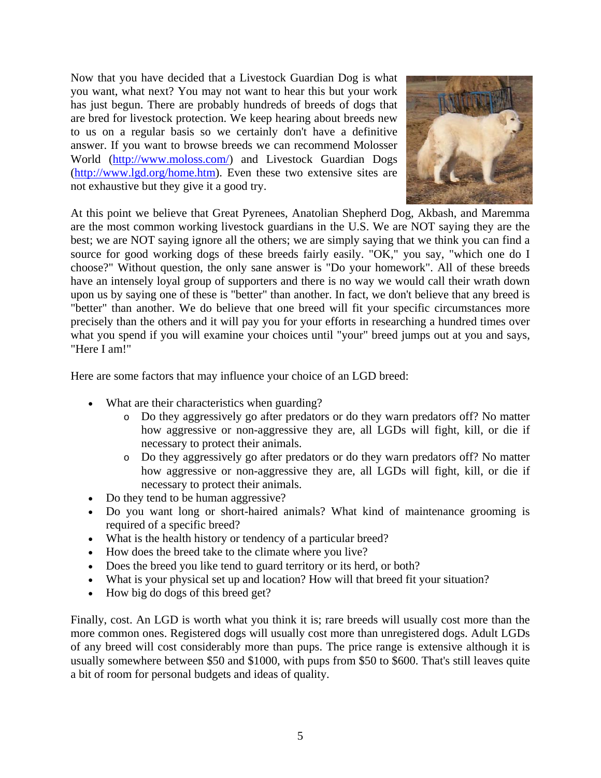Now that you have decided that a Livestock Guardian Dog is what you want, what next? You may not want to hear this but your work has just begun. There are probably hundreds of breeds of dogs that are bred for livestock protection. We keep hearing about breeds new to us on a regular basis so we certainly don't have a definitive answer. If you want to browse breeds we can recommend Molosser World (<http://www.moloss.com/>) and Livestock Guardian Dogs ([http://www.lgd.org/home.htm\)](http://www.lgd.org/home.htm). Even these two extensive sites are not exhaustive but they give it a good try.



At this point we believe that Great Pyrenees, Anatolian Shepherd Dog, Akbash, and Maremma are the most common working livestock guardians in the U.S. We are NOT saying they are the best; we are NOT saying ignore all the others; we are simply saying that we think you can find a source for good working dogs of these breeds fairly easily. "OK," you say, "which one do I choose?" Without question, the only sane answer is "Do your homework". All of these breeds have an intensely loyal group of supporters and there is no way we would call their wrath down upon us by saying one of these is "better" than another. In fact, we don't believe that any breed is "better" than another. We do believe that one breed will fit your specific circumstances more precisely than the others and it will pay you for your efforts in researching a hundred times over what you spend if you will examine your choices until "your" breed jumps out at you and says, "Here I am!"

Here are some factors that may influence your choice of an LGD breed:

- What are their characteristics when guarding?
	- o Do they aggressively go after predators or do they warn predators off? No matter how aggressive or non-aggressive they are, all LGDs will fight, kill, or die if necessary to protect their animals.
	- o Do they aggressively go after predators or do they warn predators off? No matter how aggressive or non-aggressive they are, all LGDs will fight, kill, or die if necessary to protect their animals.
- Do they tend to be human aggressive?
- Do you want long or short-haired animals? What kind of maintenance grooming is required of a specific breed?
- What is the health history or tendency of a particular breed?
- How does the breed take to the climate where you live?
- Does the breed you like tend to guard territory or its herd, or both?
- What is your physical set up and location? How will that breed fit your situation?
- How big do dogs of this breed get?

Finally, cost. An LGD is worth what you think it is; rare breeds will usually cost more than the more common ones. Registered dogs will usually cost more than unregistered dogs. Adult LGDs of any breed will cost considerably more than pups. The price range is extensive although it is usually somewhere between \$50 and \$1000, with pups from \$50 to \$600. That's still leaves quite a bit of room for personal budgets and ideas of quality.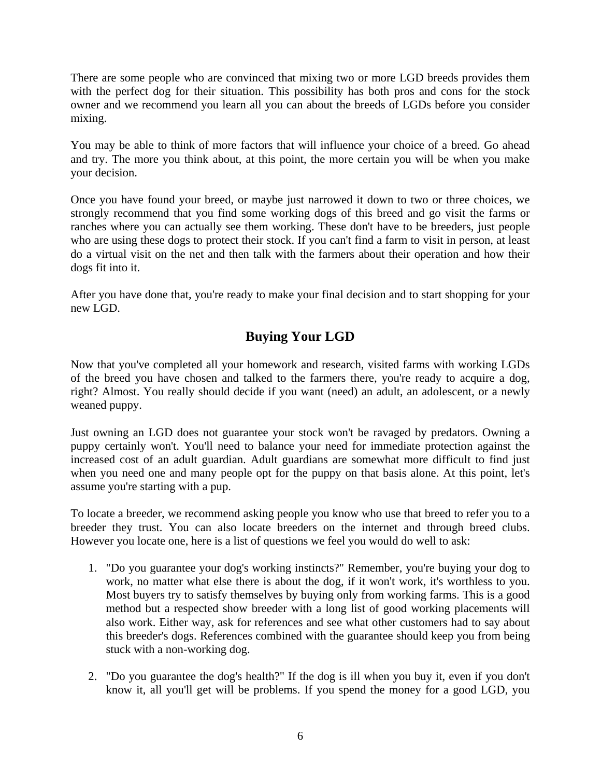<span id="page-5-0"></span>There are some people who are convinced that mixing two or more LGD breeds provides them with the perfect dog for their situation. This possibility has both pros and cons for the stock owner and we recommend you learn all you can about the breeds of LGDs before you consider mixing.

You may be able to think of more factors that will influence your choice of a breed. Go ahead and try. The more you think about, at this point, the more certain you will be when you make your decision.

Once you have found your breed, or maybe just narrowed it down to two or three choices, we strongly recommend that you find some working dogs of this breed and go visit the farms or ranches where you can actually see them working. These don't have to be breeders, just people who are using these dogs to protect their stock. If you can't find a farm to visit in person, at least do a virtual visit on the net and then talk with the farmers about their operation and how their dogs fit into it.

After you have done that, you're ready to make your final decision and to start shopping for your new LGD.

# **Buying Your LGD**

Now that you've completed all your homework and research, visited farms with working LGDs of the breed you have chosen and talked to the farmers there, you're ready to acquire a dog, right? Almost. You really should decide if you want (need) an adult, an adolescent, or a newly weaned puppy.

Just owning an LGD does not guarantee your stock won't be ravaged by predators. Owning a puppy certainly won't. You'll need to balance your need for immediate protection against the increased cost of an adult guardian. Adult guardians are somewhat more difficult to find just when you need one and many people opt for the puppy on that basis alone. At this point, let's assume you're starting with a pup.

To locate a breeder, we recommend asking people you know who use that breed to refer you to a breeder they trust. You can also locate breeders on the internet and through breed clubs. However you locate one, here is a list of questions we feel you would do well to ask:

- 1. "Do you guarantee your dog's working instincts?" Remember, you're buying your dog to work, no matter what else there is about the dog, if it won't work, it's worthless to you. Most buyers try to satisfy themselves by buying only from working farms. This is a good method but a respected show breeder with a long list of good working placements will also work. Either way, ask for references and see what other customers had to say about this breeder's dogs. References combined with the guarantee should keep you from being stuck with a non-working dog.
- 2. "Do you guarantee the dog's health?" If the dog is ill when you buy it, even if you don't know it, all you'll get will be problems. If you spend the money for a good LGD, you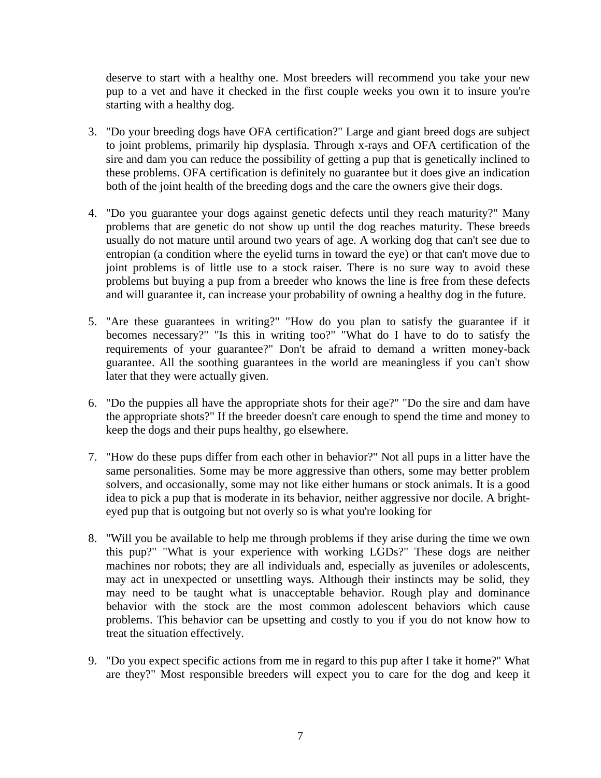deserve to start with a healthy one. Most breeders will recommend you take your new pup to a vet and have it checked in the first couple weeks you own it to insure you're starting with a healthy dog.

- 3. "Do your breeding dogs have OFA certification?" Large and giant breed dogs are subject to joint problems, primarily hip dysplasia. Through x-rays and OFA certification of the sire and dam you can reduce the possibility of getting a pup that is genetically inclined to these problems. OFA certification is definitely no guarantee but it does give an indication both of the joint health of the breeding dogs and the care the owners give their dogs.
- 4. "Do you guarantee your dogs against genetic defects until they reach maturity?" Many problems that are genetic do not show up until the dog reaches maturity. These breeds usually do not mature until around two years of age. A working dog that can't see due to entropian (a condition where the eyelid turns in toward the eye) or that can't move due to joint problems is of little use to a stock raiser. There is no sure way to avoid these problems but buying a pup from a breeder who knows the line is free from these defects and will guarantee it, can increase your probability of owning a healthy dog in the future.
- 5. "Are these guarantees in writing?" "How do you plan to satisfy the guarantee if it becomes necessary?" "Is this in writing too?" "What do I have to do to satisfy the requirements of your guarantee?" Don't be afraid to demand a written money-back guarantee. All the soothing guarantees in the world are meaningless if you can't show later that they were actually given.
- 6. "Do the puppies all have the appropriate shots for their age?" "Do the sire and dam have the appropriate shots?" If the breeder doesn't care enough to spend the time and money to keep the dogs and their pups healthy, go elsewhere.
- 7. "How do these pups differ from each other in behavior?" Not all pups in a litter have the same personalities. Some may be more aggressive than others, some may better problem solvers, and occasionally, some may not like either humans or stock animals. It is a good idea to pick a pup that is moderate in its behavior, neither aggressive nor docile. A brighteyed pup that is outgoing but not overly so is what you're looking for
- 8. "Will you be available to help me through problems if they arise during the time we own this pup?" "What is your experience with working LGDs?" These dogs are neither machines nor robots; they are all individuals and, especially as juveniles or adolescents, may act in unexpected or unsettling ways. Although their instincts may be solid, they may need to be taught what is unacceptable behavior. Rough play and dominance behavior with the stock are the most common adolescent behaviors which cause problems. This behavior can be upsetting and costly to you if you do not know how to treat the situation effectively.
- 9. "Do you expect specific actions from me in regard to this pup after I take it home?" What are they?" Most responsible breeders will expect you to care for the dog and keep it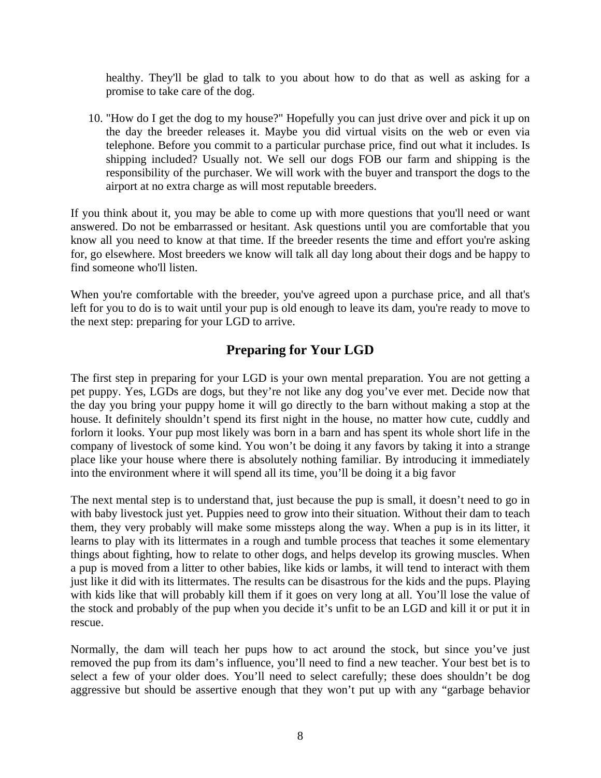<span id="page-7-0"></span>healthy. They'll be glad to talk to you about how to do that as well as asking for a promise to take care of the dog.

10. "How do I get the dog to my house?" Hopefully you can just drive over and pick it up on the day the breeder releases it. Maybe you did virtual visits on the web or even via telephone. Before you commit to a particular purchase price, find out what it includes. Is shipping included? Usually not. We sell our dogs FOB our farm and shipping is the responsibility of the purchaser. We will work with the buyer and transport the dogs to the airport at no extra charge as will most reputable breeders.

If you think about it, you may be able to come up with more questions that you'll need or want answered. Do not be embarrassed or hesitant. Ask questions until you are comfortable that you know all you need to know at that time. If the breeder resents the time and effort you're asking for, go elsewhere. Most breeders we know will talk all day long about their dogs and be happy to find someone who'll listen.

When you're comfortable with the breeder, you've agreed upon a purchase price, and all that's left for you to do is to wait until your pup is old enough to leave its dam, you're ready to move to the next step: preparing for your LGD to arrive.

# **Preparing for Your LGD**

The first step in preparing for your LGD is your own mental preparation. You are not getting a pet puppy. Yes, LGDs are dogs, but they're not like any dog you've ever met. Decide now that the day you bring your puppy home it will go directly to the barn without making a stop at the house. It definitely shouldn't spend its first night in the house, no matter how cute, cuddly and forlorn it looks. Your pup most likely was born in a barn and has spent its whole short life in the company of livestock of some kind. You won't be doing it any favors by taking it into a strange place like your house where there is absolutely nothing familiar. By introducing it immediately into the environment where it will spend all its time, you'll be doing it a big favor

The next mental step is to understand that, just because the pup is small, it doesn't need to go in with baby livestock just yet. Puppies need to grow into their situation. Without their dam to teach them, they very probably will make some missteps along the way. When a pup is in its litter, it learns to play with its littermates in a rough and tumble process that teaches it some elementary things about fighting, how to relate to other dogs, and helps develop its growing muscles. When a pup is moved from a litter to other babies, like kids or lambs, it will tend to interact with them just like it did with its littermates. The results can be disastrous for the kids and the pups. Playing with kids like that will probably kill them if it goes on very long at all. You'll lose the value of the stock and probably of the pup when you decide it's unfit to be an LGD and kill it or put it in rescue.

Normally, the dam will teach her pups how to act around the stock, but since you've just removed the pup from its dam's influence, you'll need to find a new teacher. Your best bet is to select a few of your older does. You'll need to select carefully; these does shouldn't be dog aggressive but should be assertive enough that they won't put up with any "garbage behavior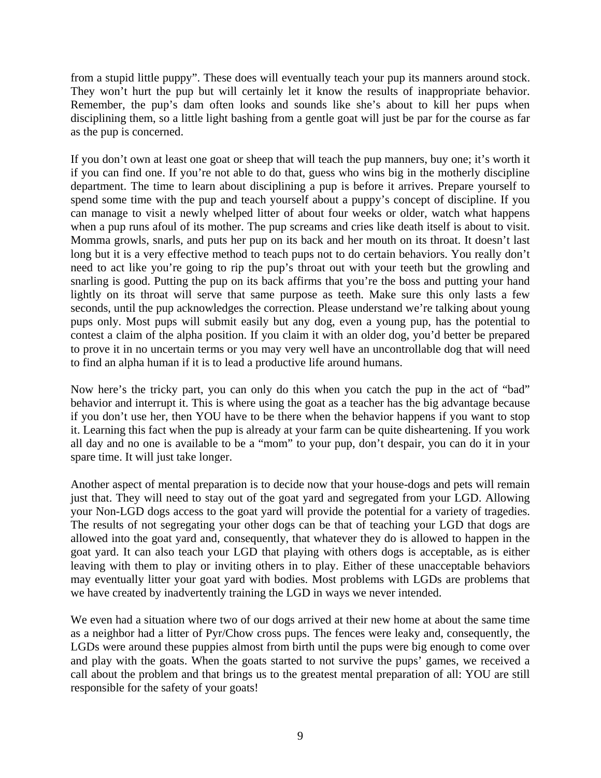from a stupid little puppy". These does will eventually teach your pup its manners around stock. They won't hurt the pup but will certainly let it know the results of inappropriate behavior. Remember, the pup's dam often looks and sounds like she's about to kill her pups when disciplining them, so a little light bashing from a gentle goat will just be par for the course as far as the pup is concerned.

If you don't own at least one goat or sheep that will teach the pup manners, buy one; it's worth it if you can find one. If you're not able to do that, guess who wins big in the motherly discipline department. The time to learn about disciplining a pup is before it arrives. Prepare yourself to spend some time with the pup and teach yourself about a puppy's concept of discipline. If you can manage to visit a newly whelped litter of about four weeks or older, watch what happens when a pup runs afoul of its mother. The pup screams and cries like death itself is about to visit. Momma growls, snarls, and puts her pup on its back and her mouth on its throat. It doesn't last long but it is a very effective method to teach pups not to do certain behaviors. You really don't need to act like you're going to rip the pup's throat out with your teeth but the growling and snarling is good. Putting the pup on its back affirms that you're the boss and putting your hand lightly on its throat will serve that same purpose as teeth. Make sure this only lasts a few seconds, until the pup acknowledges the correction. Please understand we're talking about young pups only. Most pups will submit easily but any dog, even a young pup, has the potential to contest a claim of the alpha position. If you claim it with an older dog, you'd better be prepared to prove it in no uncertain terms or you may very well have an uncontrollable dog that will need to find an alpha human if it is to lead a productive life around humans.

Now here's the tricky part, you can only do this when you catch the pup in the act of "bad" behavior and interrupt it. This is where using the goat as a teacher has the big advantage because if you don't use her, then YOU have to be there when the behavior happens if you want to stop it. Learning this fact when the pup is already at your farm can be quite disheartening. If you work all day and no one is available to be a "mom" to your pup, don't despair, you can do it in your spare time. It will just take longer.

Another aspect of mental preparation is to decide now that your house-dogs and pets will remain just that. They will need to stay out of the goat yard and segregated from your LGD. Allowing your Non-LGD dogs access to the goat yard will provide the potential for a variety of tragedies. The results of not segregating your other dogs can be that of teaching your LGD that dogs are allowed into the goat yard and, consequently, that whatever they do is allowed to happen in the goat yard. It can also teach your LGD that playing with others dogs is acceptable, as is either leaving with them to play or inviting others in to play. Either of these unacceptable behaviors may eventually litter your goat yard with bodies. Most problems with LGDs are problems that we have created by inadvertently training the LGD in ways we never intended.

We even had a situation where two of our dogs arrived at their new home at about the same time as a neighbor had a litter of Pyr/Chow cross pups. The fences were leaky and, consequently, the LGDs were around these puppies almost from birth until the pups were big enough to come over and play with the goats. When the goats started to not survive the pups' games, we received a call about the problem and that brings us to the greatest mental preparation of all: YOU are still responsible for the safety of your goats!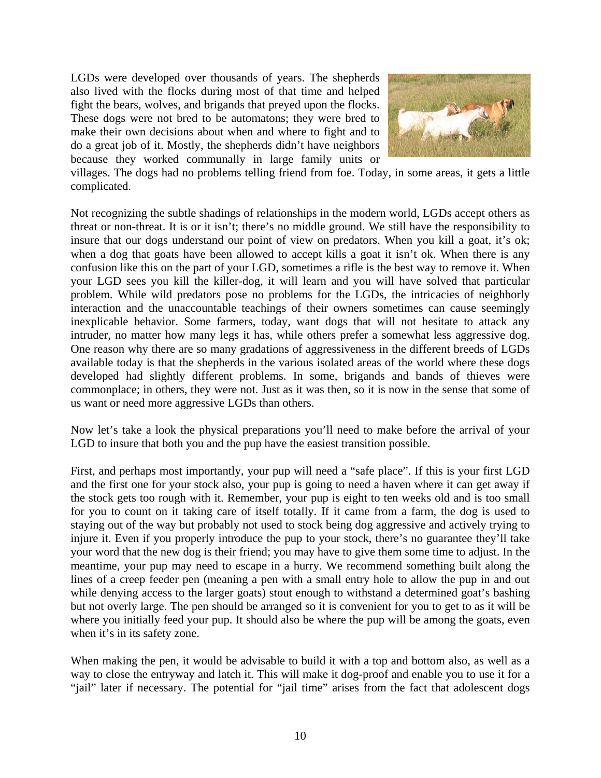LGDs were developed over thousands of years. The shepherds also lived with the flocks during most of that time and helped fight the bears, wolves, and brigands that preyed upon the flocks. These dogs were not bred to be automatons; they were bred to make their own decisions about when and where to fight and to do a great job of it. Mostly, the shepherds didn't have neighbors because they worked communally in large family units or



villages. The dogs had no problems telling friend from foe. Today, in some areas, it gets a little complicated.

Not recognizing the subtle shadings of relationships in the modern world, LGDs accept others as threat or non-threat. It is or it isn't; there's no middle ground. We still have the responsibility to insure that our dogs understand our point of view on predators. When you kill a goat, it's ok; when a dog that goats have been allowed to accept kills a goat it isn't ok. When there is any confusion like this on the part of your LGD, sometimes a rifle is the best way to remove it. When your LGD sees you kill the killer-dog, it will learn and you will have solved that particular problem. While wild predators pose no problems for the LGDs, the intricacies of neighborly interaction and the unaccountable teachings of their owners sometimes can cause seemingly inexplicable behavior. Some farmers, today, want dogs that will not hesitate to attack any intruder, no matter how many legs it has, while others prefer a somewhat less aggressive dog. One reason why there are so many gradations of aggressiveness in the different breeds of LGDs available today is that the shepherds in the various isolated areas of the world where these dogs developed had slightly different problems. In some, brigands and bands of thieves were commonplace; in others, they were not. Just as it was then, so it is now in the sense that some of us want or need more aggressive LGDs than others.

Now let's take a look the physical preparations you'll need to make before the arrival of your LGD to insure that both you and the pup have the easiest transition possible.

First, and perhaps most importantly, your pup will need a "safe place". If this is your first LGD and the first one for your stock also, your pup is going to need a haven where it can get away if the stock gets too rough with it. Remember, your pup is eight to ten weeks old and is too small for you to count on it taking care of itself totally. If it came from a farm, the dog is used to staying out of the way but probably not used to stock being dog aggressive and actively trying to injure it. Even if you properly introduce the pup to your stock, there's no guarantee they'll take your word that the new dog is their friend; you may have to give them some time to adjust. In the meantime, your pup may need to escape in a hurry. We recommend something built along the lines of a creep feeder pen (meaning a pen with a small entry hole to allow the pup in and out while denying access to the larger goats) stout enough to withstand a determined goat's bashing but not overly large. The pen should be arranged so it is convenient for you to get to as it will be where you initially feed your pup. It should also be where the pup will be among the goats, even when it's in its safety zone.

When making the pen, it would be advisable to build it with a top and bottom also, as well as a way to close the entryway and latch it. This will make it dog-proof and enable you to use it for a "jail" later if necessary. The potential for "jail time" arises from the fact that adolescent dogs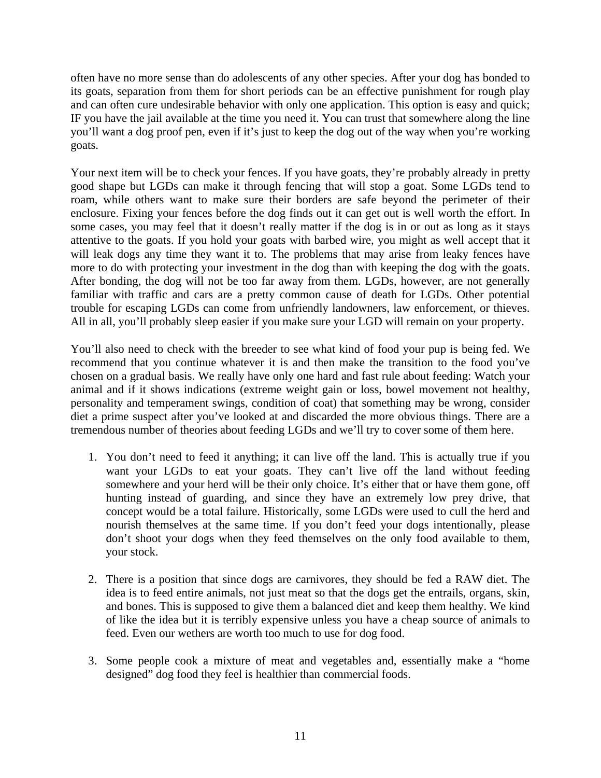often have no more sense than do adolescents of any other species. After your dog has bonded to its goats, separation from them for short periods can be an effective punishment for rough play and can often cure undesirable behavior with only one application. This option is easy and quick; IF you have the jail available at the time you need it. You can trust that somewhere along the line you'll want a dog proof pen, even if it's just to keep the dog out of the way when you're working goats.

Your next item will be to check your fences. If you have goats, they're probably already in pretty good shape but LGDs can make it through fencing that will stop a goat. Some LGDs tend to roam, while others want to make sure their borders are safe beyond the perimeter of their enclosure. Fixing your fences before the dog finds out it can get out is well worth the effort. In some cases, you may feel that it doesn't really matter if the dog is in or out as long as it stays attentive to the goats. If you hold your goats with barbed wire, you might as well accept that it will leak dogs any time they want it to. The problems that may arise from leaky fences have more to do with protecting your investment in the dog than with keeping the dog with the goats. After bonding, the dog will not be too far away from them. LGDs, however, are not generally familiar with traffic and cars are a pretty common cause of death for LGDs. Other potential trouble for escaping LGDs can come from unfriendly landowners, law enforcement, or thieves. All in all, you'll probably sleep easier if you make sure your LGD will remain on your property.

You'll also need to check with the breeder to see what kind of food your pup is being fed. We recommend that you continue whatever it is and then make the transition to the food you've chosen on a gradual basis. We really have only one hard and fast rule about feeding: Watch your animal and if it shows indications (extreme weight gain or loss, bowel movement not healthy, personality and temperament swings, condition of coat) that something may be wrong, consider diet a prime suspect after you've looked at and discarded the more obvious things. There are a tremendous number of theories about feeding LGDs and we'll try to cover some of them here.

- 1. You don't need to feed it anything; it can live off the land. This is actually true if you want your LGDs to eat your goats. They can't live off the land without feeding somewhere and your herd will be their only choice. It's either that or have them gone, off hunting instead of guarding, and since they have an extremely low prey drive, that concept would be a total failure. Historically, some LGDs were used to cull the herd and nourish themselves at the same time. If you don't feed your dogs intentionally, please don't shoot your dogs when they feed themselves on the only food available to them, your stock.
- 2. There is a position that since dogs are carnivores, they should be fed a RAW diet. The idea is to feed entire animals, not just meat so that the dogs get the entrails, organs, skin, and bones. This is supposed to give them a balanced diet and keep them healthy. We kind of like the idea but it is terribly expensive unless you have a cheap source of animals to feed. Even our wethers are worth too much to use for dog food.
- 3. Some people cook a mixture of meat and vegetables and, essentially make a "home designed" dog food they feel is healthier than commercial foods.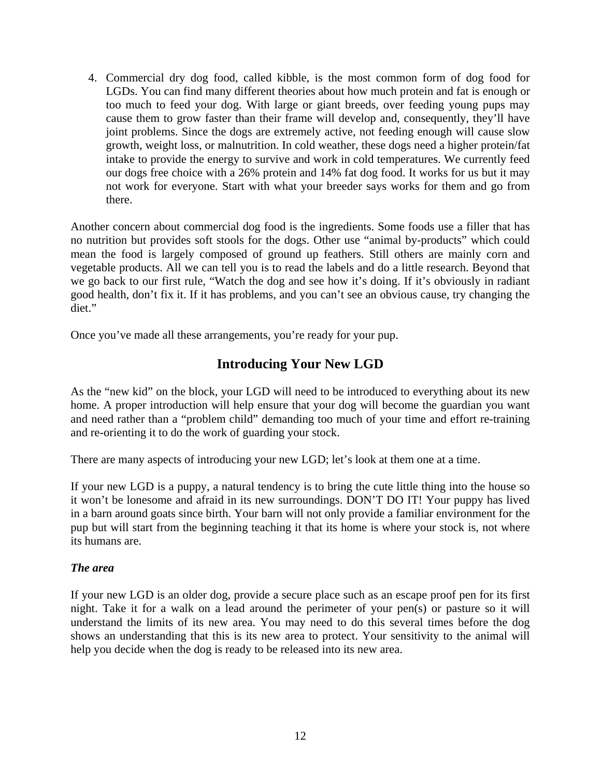<span id="page-11-0"></span>4. Commercial dry dog food, called kibble, is the most common form of dog food for LGDs. You can find many different theories about how much protein and fat is enough or too much to feed your dog. With large or giant breeds, over feeding young pups may cause them to grow faster than their frame will develop and, consequently, they'll have joint problems. Since the dogs are extremely active, not feeding enough will cause slow growth, weight loss, or malnutrition. In cold weather, these dogs need a higher protein/fat intake to provide the energy to survive and work in cold temperatures. We currently feed our dogs free choice with a 26% protein and 14% fat dog food. It works for us but it may not work for everyone. Start with what your breeder says works for them and go from there.

Another concern about commercial dog food is the ingredients. Some foods use a filler that has no nutrition but provides soft stools for the dogs. Other use "animal by-products" which could mean the food is largely composed of ground up feathers. Still others are mainly corn and vegetable products. All we can tell you is to read the labels and do a little research. Beyond that we go back to our first rule, "Watch the dog and see how it's doing. If it's obviously in radiant good health, don't fix it. If it has problems, and you can't see an obvious cause, try changing the diet."

Once you've made all these arrangements, you're ready for your pup.

# **Introducing Your New LGD**

As the "new kid" on the block, your LGD will need to be introduced to everything about its new home. A proper introduction will help ensure that your dog will become the guardian you want and need rather than a "problem child" demanding too much of your time and effort re-training and re-orienting it to do the work of guarding your stock.

There are many aspects of introducing your new LGD; let's look at them one at a time.

If your new LGD is a puppy, a natural tendency is to bring the cute little thing into the house so it won't be lonesome and afraid in its new surroundings. DON'T DO IT! Your puppy has lived in a barn around goats since birth. Your barn will not only provide a familiar environment for the pup but will start from the beginning teaching it that its home is where your stock is, not where its humans are.

#### *The area*

If your new LGD is an older dog, provide a secure place such as an escape proof pen for its first night. Take it for a walk on a lead around the perimeter of your pen(s) or pasture so it will understand the limits of its new area. You may need to do this several times before the dog shows an understanding that this is its new area to protect. Your sensitivity to the animal will help you decide when the dog is ready to be released into its new area.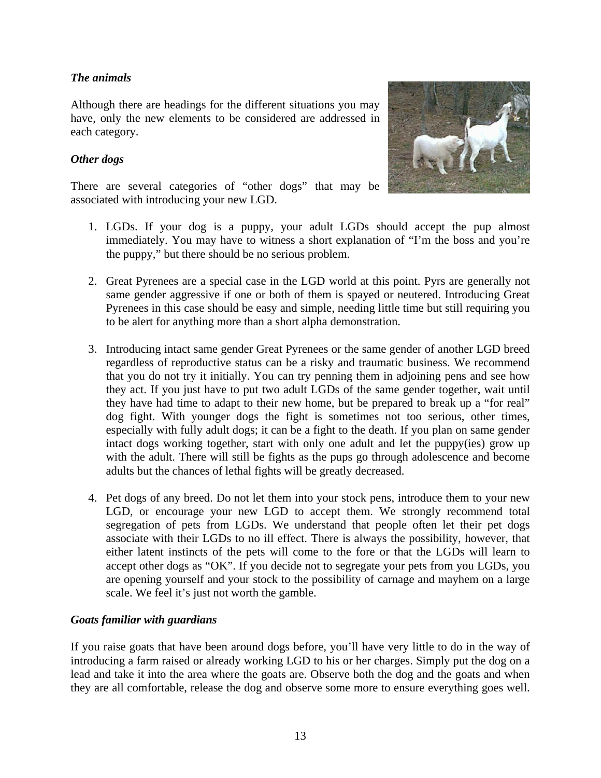### <span id="page-12-0"></span>*The animals*

Although there are headings for the different situations you may have, only the new elements to be considered are addressed in each category.

#### *Other dogs*



There are several categories of "other dogs" that may be associated with introducing your new LGD.

- 1. LGDs. If your dog is a puppy, your adult LGDs should accept the pup almost immediately. You may have to witness a short explanation of "I'm the boss and you're the puppy," but there should be no serious problem.
- 2. Great Pyrenees are a special case in the LGD world at this point. Pyrs are generally not same gender aggressive if one or both of them is spayed or neutered. Introducing Great Pyrenees in this case should be easy and simple, needing little time but still requiring you to be alert for anything more than a short alpha demonstration.
- 3. Introducing intact same gender Great Pyrenees or the same gender of another LGD breed regardless of reproductive status can be a risky and traumatic business. We recommend that you do not try it initially. You can try penning them in adjoining pens and see how they act. If you just have to put two adult LGDs of the same gender together, wait until they have had time to adapt to their new home, but be prepared to break up a "for real" dog fight. With younger dogs the fight is sometimes not too serious, other times, especially with fully adult dogs; it can be a fight to the death. If you plan on same gender intact dogs working together, start with only one adult and let the puppy(ies) grow up with the adult. There will still be fights as the pups go through adolescence and become adults but the chances of lethal fights will be greatly decreased.
- 4. Pet dogs of any breed. Do not let them into your stock pens, introduce them to your new LGD, or encourage your new LGD to accept them. We strongly recommend total segregation of pets from LGDs. We understand that people often let their pet dogs associate with their LGDs to no ill effect. There is always the possibility, however, that either latent instincts of the pets will come to the fore or that the LGDs will learn to accept other dogs as "OK". If you decide not to segregate your pets from you LGDs, you are opening yourself and your stock to the possibility of carnage and mayhem on a large scale. We feel it's just not worth the gamble.

#### *Goats familiar with guardians*

If you raise goats that have been around dogs before, you'll have very little to do in the way of introducing a farm raised or already working LGD to his or her charges. Simply put the dog on a lead and take it into the area where the goats are. Observe both the dog and the goats and when they are all comfortable, release the dog and observe some more to ensure everything goes well.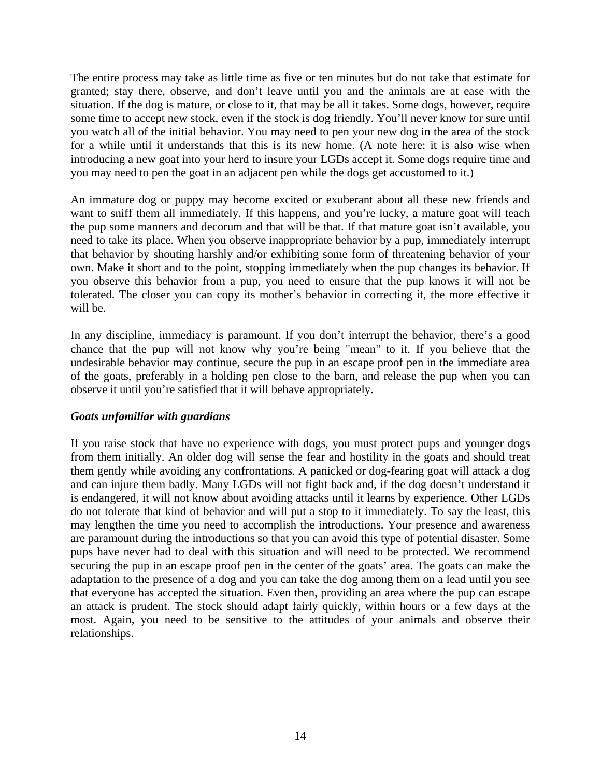<span id="page-13-0"></span>The entire process may take as little time as five or ten minutes but do not take that estimate for granted; stay there, observe, and don't leave until you and the animals are at ease with the situation. If the dog is mature, or close to it, that may be all it takes. Some dogs, however, require some time to accept new stock, even if the stock is dog friendly. You'll never know for sure until you watch all of the initial behavior. You may need to pen your new dog in the area of the stock for a while until it understands that this is its new home. (A note here: it is also wise when introducing a new goat into your herd to insure your LGDs accept it. Some dogs require time and you may need to pen the goat in an adjacent pen while the dogs get accustomed to it.)

An immature dog or puppy may become excited or exuberant about all these new friends and want to sniff them all immediately. If this happens, and you're lucky, a mature goat will teach the pup some manners and decorum and that will be that. If that mature goat isn't available, you need to take its place. When you observe inappropriate behavior by a pup, immediately interrupt that behavior by shouting harshly and/or exhibiting some form of threatening behavior of your own. Make it short and to the point, stopping immediately when the pup changes its behavior. If you observe this behavior from a pup, you need to ensure that the pup knows it will not be tolerated. The closer you can copy its mother's behavior in correcting it, the more effective it will be.

In any discipline, immediacy is paramount. If you don't interrupt the behavior, there's a good chance that the pup will not know why you're being "mean" to it. If you believe that the undesirable behavior may continue, secure the pup in an escape proof pen in the immediate area of the goats, preferably in a holding pen close to the barn, and release the pup when you can observe it until you're satisfied that it will behave appropriately.

#### *Goats unfamiliar with guardians*

If you raise stock that have no experience with dogs, you must protect pups and younger dogs from them initially. An older dog will sense the fear and hostility in the goats and should treat them gently while avoiding any confrontations. A panicked or dog-fearing goat will attack a dog and can injure them badly. Many LGDs will not fight back and, if the dog doesn't understand it is endangered, it will not know about avoiding attacks until it learns by experience. Other LGDs do not tolerate that kind of behavior and will put a stop to it immediately. To say the least, this may lengthen the time you need to accomplish the introductions. Your presence and awareness are paramount during the introductions so that you can avoid this type of potential disaster. Some pups have never had to deal with this situation and will need to be protected. We recommend securing the pup in an escape proof pen in the center of the goats' area. The goats can make the adaptation to the presence of a dog and you can take the dog among them on a lead until you see that everyone has accepted the situation. Even then, providing an area where the pup can escape an attack is prudent. The stock should adapt fairly quickly, within hours or a few days at the most. Again, you need to be sensitive to the attitudes of your animals and observe their relationships.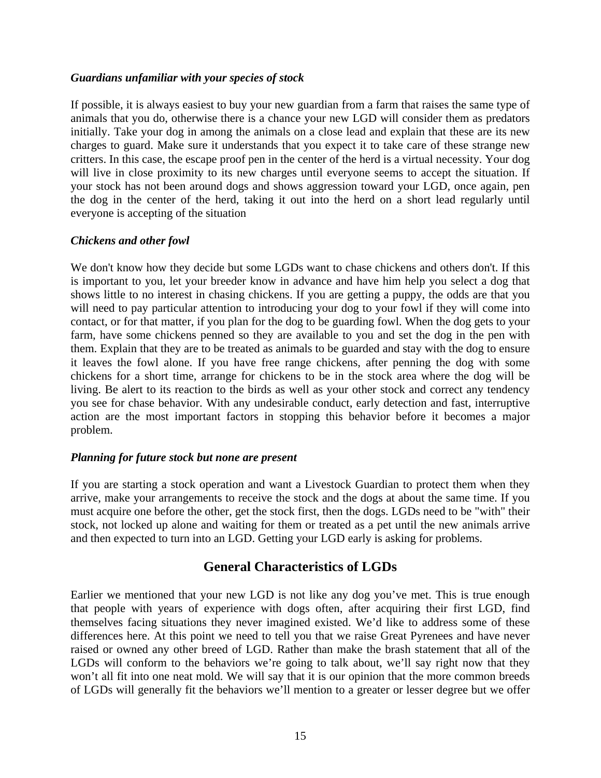#### <span id="page-14-0"></span>*Guardians unfamiliar with your species of stock*

If possible, it is always easiest to buy your new guardian from a farm that raises the same type of animals that you do, otherwise there is a chance your new LGD will consider them as predators initially. Take your dog in among the animals on a close lead and explain that these are its new charges to guard. Make sure it understands that you expect it to take care of these strange new critters. In this case, the escape proof pen in the center of the herd is a virtual necessity. Your dog will live in close proximity to its new charges until everyone seems to accept the situation. If your stock has not been around dogs and shows aggression toward your LGD, once again, pen the dog in the center of the herd, taking it out into the herd on a short lead regularly until everyone is accepting of the situation

#### *Chickens and other fowl*

We don't know how they decide but some LGDs want to chase chickens and others don't. If this is important to you, let your breeder know in advance and have him help you select a dog that shows little to no interest in chasing chickens. If you are getting a puppy, the odds are that you will need to pay particular attention to introducing your dog to your fowl if they will come into contact, or for that matter, if you plan for the dog to be guarding fowl. When the dog gets to your farm, have some chickens penned so they are available to you and set the dog in the pen with them. Explain that they are to be treated as animals to be guarded and stay with the dog to ensure it leaves the fowl alone. If you have free range chickens, after penning the dog with some chickens for a short time, arrange for chickens to be in the stock area where the dog will be living. Be alert to its reaction to the birds as well as your other stock and correct any tendency you see for chase behavior. With any undesirable conduct, early detection and fast, interruptive action are the most important factors in stopping this behavior before it becomes a major problem.

#### *Planning for future stock but none are present*

If you are starting a stock operation and want a Livestock Guardian to protect them when they arrive, make your arrangements to receive the stock and the dogs at about the same time. If you must acquire one before the other, get the stock first, then the dogs. LGDs need to be "with" their stock, not locked up alone and waiting for them or treated as a pet until the new animals arrive and then expected to turn into an LGD. Getting your LGD early is asking for problems.

### **General Characteristics of LGDs**

Earlier we mentioned that your new LGD is not like any dog you've met. This is true enough that people with years of experience with dogs often, after acquiring their first LGD, find themselves facing situations they never imagined existed. We'd like to address some of these differences here. At this point we need to tell you that we raise Great Pyrenees and have never raised or owned any other breed of LGD. Rather than make the brash statement that all of the LGDs will conform to the behaviors we're going to talk about, we'll say right now that they won't all fit into one neat mold. We will say that it is our opinion that the more common breeds of LGDs will generally fit the behaviors we'll mention to a greater or lesser degree but we offer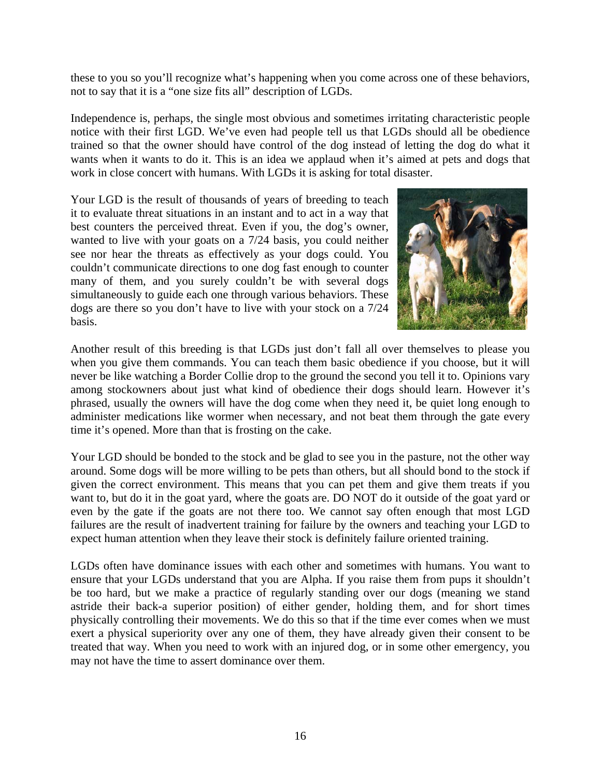these to you so you'll recognize what's happening when you come across one of these behaviors, not to say that it is a "one size fits all" description of LGDs.

Independence is, perhaps, the single most obvious and sometimes irritating characteristic people notice with their first LGD. We've even had people tell us that LGDs should all be obedience trained so that the owner should have control of the dog instead of letting the dog do what it wants when it wants to do it. This is an idea we applaud when it's aimed at pets and dogs that work in close concert with humans. With LGDs it is asking for total disaster.

Your LGD is the result of thousands of years of breeding to teach it to evaluate threat situations in an instant and to act in a way that best counters the perceived threat. Even if you, the dog's owner, wanted to live with your goats on a 7/24 basis, you could neither see nor hear the threats as effectively as your dogs could. You couldn't communicate directions to one dog fast enough to counter many of them, and you surely couldn't be with several dogs simultaneously to guide each one through various behaviors. These dogs are there so you don't have to live with your stock on a 7/24 basis.



Another result of this breeding is that LGDs just don't fall all over themselves to please you when you give them commands. You can teach them basic obedience if you choose, but it will never be like watching a Border Collie drop to the ground the second you tell it to. Opinions vary among stockowners about just what kind of obedience their dogs should learn. However it's phrased, usually the owners will have the dog come when they need it, be quiet long enough to administer medications like wormer when necessary, and not beat them through the gate every time it's opened. More than that is frosting on the cake.

Your LGD should be bonded to the stock and be glad to see you in the pasture, not the other way around. Some dogs will be more willing to be pets than others, but all should bond to the stock if given the correct environment. This means that you can pet them and give them treats if you want to, but do it in the goat yard, where the goats are. DO NOT do it outside of the goat yard or even by the gate if the goats are not there too. We cannot say often enough that most LGD failures are the result of inadvertent training for failure by the owners and teaching your LGD to expect human attention when they leave their stock is definitely failure oriented training.

LGDs often have dominance issues with each other and sometimes with humans. You want to ensure that your LGDs understand that you are Alpha. If you raise them from pups it shouldn't be too hard, but we make a practice of regularly standing over our dogs (meaning we stand astride their back-a superior position) of either gender, holding them, and for short times physically controlling their movements. We do this so that if the time ever comes when we must exert a physical superiority over any one of them, they have already given their consent to be treated that way. When you need to work with an injured dog, or in some other emergency, you may not have the time to assert dominance over them.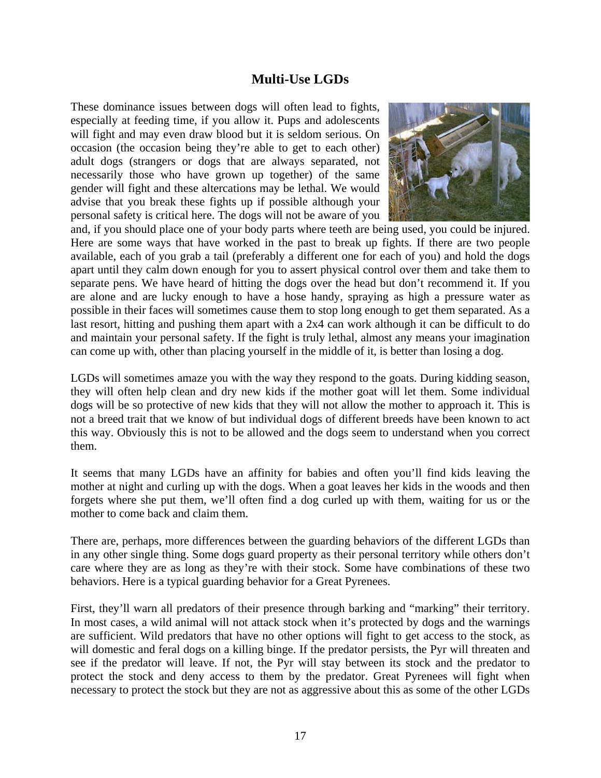### **Multi-Use LGDs**

<span id="page-16-0"></span>These dominance issues between dogs will often lead to fights, especially at feeding time, if you allow it. Pups and adolescents will fight and may even draw blood but it is seldom serious. On occasion (the occasion being they're able to get to each other) adult dogs (strangers or dogs that are always separated, not necessarily those who have grown up together) of the same gender will fight and these altercations may be lethal. We would advise that you break these fights up if possible although your personal safety is critical here. The dogs will not be aware of you



and, if you should place one of your body parts where teeth are being used, you could be injured. Here are some ways that have worked in the past to break up fights. If there are two people available, each of you grab a tail (preferably a different one for each of you) and hold the dogs apart until they calm down enough for you to assert physical control over them and take them to separate pens. We have heard of hitting the dogs over the head but don't recommend it. If you are alone and are lucky enough to have a hose handy, spraying as high a pressure water as possible in their faces will sometimes cause them to stop long enough to get them separated. As a last resort, hitting and pushing them apart with a 2x4 can work although it can be difficult to do and maintain your personal safety. If the fight is truly lethal, almost any means your imagination can come up with, other than placing yourself in the middle of it, is better than losing a dog.

LGDs will sometimes amaze you with the way they respond to the goats. During kidding season, they will often help clean and dry new kids if the mother goat will let them. Some individual dogs will be so protective of new kids that they will not allow the mother to approach it. This is not a breed trait that we know of but individual dogs of different breeds have been known to act this way. Obviously this is not to be allowed and the dogs seem to understand when you correct them.

It seems that many LGDs have an affinity for babies and often you'll find kids leaving the mother at night and curling up with the dogs. When a goat leaves her kids in the woods and then forgets where she put them, we'll often find a dog curled up with them, waiting for us or the mother to come back and claim them.

There are, perhaps, more differences between the guarding behaviors of the different LGDs than in any other single thing. Some dogs guard property as their personal territory while others don't care where they are as long as they're with their stock. Some have combinations of these two behaviors. Here is a typical guarding behavior for a Great Pyrenees.

First, they'll warn all predators of their presence through barking and "marking" their territory. In most cases, a wild animal will not attack stock when it's protected by dogs and the warnings are sufficient. Wild predators that have no other options will fight to get access to the stock, as will domestic and feral dogs on a killing binge. If the predator persists, the Pyr will threaten and see if the predator will leave. If not, the Pyr will stay between its stock and the predator to protect the stock and deny access to them by the predator. Great Pyrenees will fight when necessary to protect the stock but they are not as aggressive about this as some of the other LGDs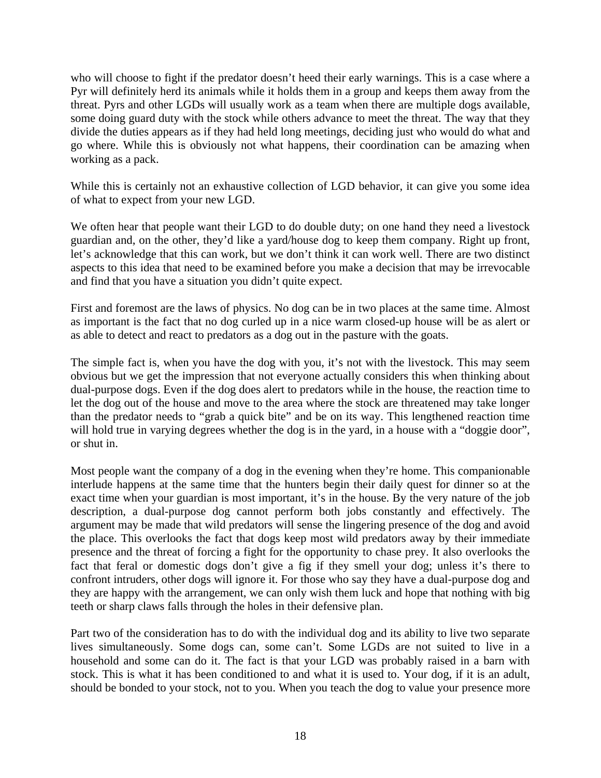who will choose to fight if the predator doesn't heed their early warnings. This is a case where a Pyr will definitely herd its animals while it holds them in a group and keeps them away from the threat. Pyrs and other LGDs will usually work as a team when there are multiple dogs available, some doing guard duty with the stock while others advance to meet the threat. The way that they divide the duties appears as if they had held long meetings, deciding just who would do what and go where. While this is obviously not what happens, their coordination can be amazing when working as a pack.

While this is certainly not an exhaustive collection of LGD behavior, it can give you some idea of what to expect from your new LGD.

We often hear that people want their LGD to do double duty; on one hand they need a livestock guardian and, on the other, they'd like a yard/house dog to keep them company. Right up front, let's acknowledge that this can work, but we don't think it can work well. There are two distinct aspects to this idea that need to be examined before you make a decision that may be irrevocable and find that you have a situation you didn't quite expect.

First and foremost are the laws of physics. No dog can be in two places at the same time. Almost as important is the fact that no dog curled up in a nice warm closed-up house will be as alert or as able to detect and react to predators as a dog out in the pasture with the goats.

The simple fact is, when you have the dog with you, it's not with the livestock. This may seem obvious but we get the impression that not everyone actually considers this when thinking about dual-purpose dogs. Even if the dog does alert to predators while in the house, the reaction time to let the dog out of the house and move to the area where the stock are threatened may take longer than the predator needs to "grab a quick bite" and be on its way. This lengthened reaction time will hold true in varying degrees whether the dog is in the yard, in a house with a "doggie door", or shut in.

Most people want the company of a dog in the evening when they're home. This companionable interlude happens at the same time that the hunters begin their daily quest for dinner so at the exact time when your guardian is most important, it's in the house. By the very nature of the job description, a dual-purpose dog cannot perform both jobs constantly and effectively. The argument may be made that wild predators will sense the lingering presence of the dog and avoid the place. This overlooks the fact that dogs keep most wild predators away by their immediate presence and the threat of forcing a fight for the opportunity to chase prey. It also overlooks the fact that feral or domestic dogs don't give a fig if they smell your dog; unless it's there to confront intruders, other dogs will ignore it. For those who say they have a dual-purpose dog and they are happy with the arrangement, we can only wish them luck and hope that nothing with big teeth or sharp claws falls through the holes in their defensive plan.

Part two of the consideration has to do with the individual dog and its ability to live two separate lives simultaneously. Some dogs can, some can't. Some LGDs are not suited to live in a household and some can do it. The fact is that your LGD was probably raised in a barn with stock. This is what it has been conditioned to and what it is used to. Your dog, if it is an adult, should be bonded to your stock, not to you. When you teach the dog to value your presence more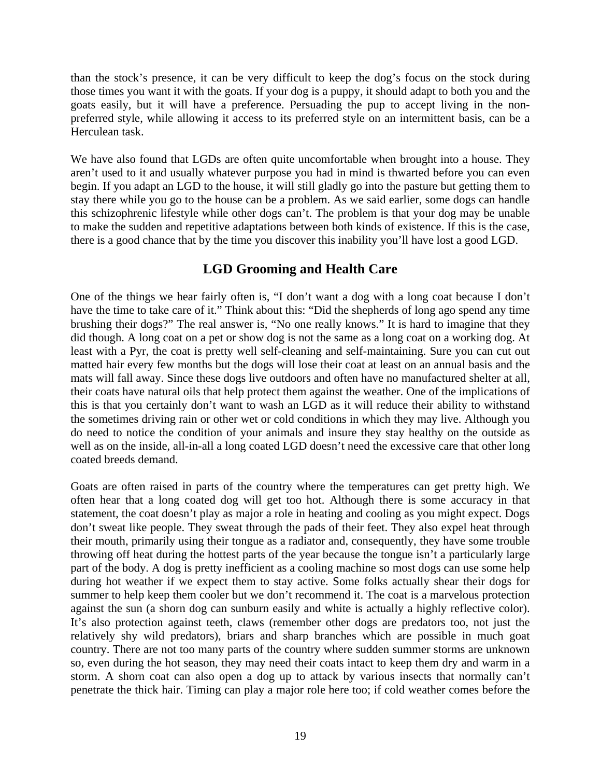<span id="page-18-0"></span>than the stock's presence, it can be very difficult to keep the dog's focus on the stock during those times you want it with the goats. If your dog is a puppy, it should adapt to both you and the goats easily, but it will have a preference. Persuading the pup to accept living in the nonpreferred style, while allowing it access to its preferred style on an intermittent basis, can be a Herculean task.

We have also found that LGDs are often quite uncomfortable when brought into a house. They aren't used to it and usually whatever purpose you had in mind is thwarted before you can even begin. If you adapt an LGD to the house, it will still gladly go into the pasture but getting them to stay there while you go to the house can be a problem. As we said earlier, some dogs can handle this schizophrenic lifestyle while other dogs can't. The problem is that your dog may be unable to make the sudden and repetitive adaptations between both kinds of existence. If this is the case, there is a good chance that by the time you discover this inability you'll have lost a good LGD.

# **LGD Grooming and Health Care**

One of the things we hear fairly often is, "I don't want a dog with a long coat because I don't have the time to take care of it." Think about this: "Did the shepherds of long ago spend any time brushing their dogs?" The real answer is, "No one really knows." It is hard to imagine that they did though. A long coat on a pet or show dog is not the same as a long coat on a working dog. At least with a Pyr, the coat is pretty well self-cleaning and self-maintaining. Sure you can cut out matted hair every few months but the dogs will lose their coat at least on an annual basis and the mats will fall away. Since these dogs live outdoors and often have no manufactured shelter at all, their coats have natural oils that help protect them against the weather. One of the implications of this is that you certainly don't want to wash an LGD as it will reduce their ability to withstand the sometimes driving rain or other wet or cold conditions in which they may live. Although you do need to notice the condition of your animals and insure they stay healthy on the outside as well as on the inside, all-in-all a long coated LGD doesn't need the excessive care that other long coated breeds demand.

Goats are often raised in parts of the country where the temperatures can get pretty high. We often hear that a long coated dog will get too hot. Although there is some accuracy in that statement, the coat doesn't play as major a role in heating and cooling as you might expect. Dogs don't sweat like people. They sweat through the pads of their feet. They also expel heat through their mouth, primarily using their tongue as a radiator and, consequently, they have some trouble throwing off heat during the hottest parts of the year because the tongue isn't a particularly large part of the body. A dog is pretty inefficient as a cooling machine so most dogs can use some help during hot weather if we expect them to stay active. Some folks actually shear their dogs for summer to help keep them cooler but we don't recommend it. The coat is a marvelous protection against the sun (a shorn dog can sunburn easily and white is actually a highly reflective color). It's also protection against teeth, claws (remember other dogs are predators too, not just the relatively shy wild predators), briars and sharp branches which are possible in much goat country. There are not too many parts of the country where sudden summer storms are unknown so, even during the hot season, they may need their coats intact to keep them dry and warm in a storm. A shorn coat can also open a dog up to attack by various insects that normally can't penetrate the thick hair. Timing can play a major role here too; if cold weather comes before the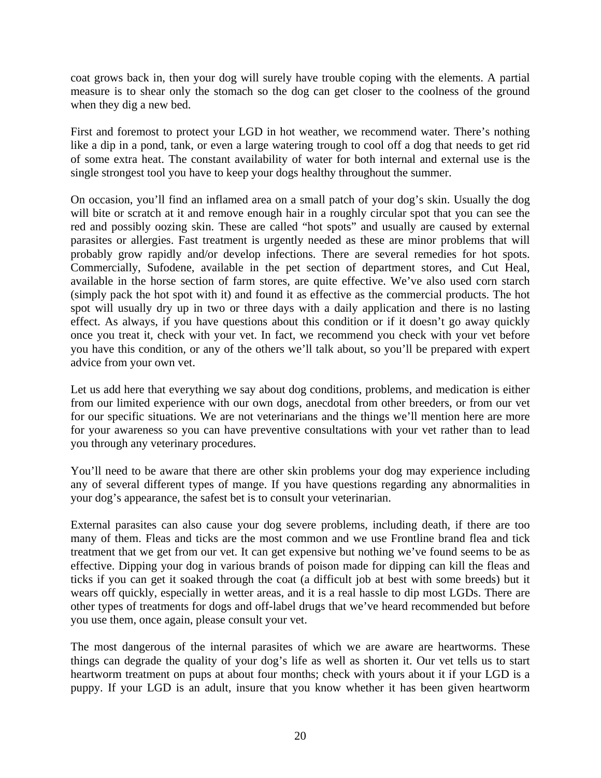coat grows back in, then your dog will surely have trouble coping with the elements. A partial measure is to shear only the stomach so the dog can get closer to the coolness of the ground when they dig a new bed.

First and foremost to protect your LGD in hot weather, we recommend water. There's nothing like a dip in a pond, tank, or even a large watering trough to cool off a dog that needs to get rid of some extra heat. The constant availability of water for both internal and external use is the single strongest tool you have to keep your dogs healthy throughout the summer.

On occasion, you'll find an inflamed area on a small patch of your dog's skin. Usually the dog will bite or scratch at it and remove enough hair in a roughly circular spot that you can see the red and possibly oozing skin. These are called "hot spots" and usually are caused by external parasites or allergies. Fast treatment is urgently needed as these are minor problems that will probably grow rapidly and/or develop infections. There are several remedies for hot spots. Commercially, Sufodene, available in the pet section of department stores, and Cut Heal, available in the horse section of farm stores, are quite effective. We've also used corn starch (simply pack the hot spot with it) and found it as effective as the commercial products. The hot spot will usually dry up in two or three days with a daily application and there is no lasting effect. As always, if you have questions about this condition or if it doesn't go away quickly once you treat it, check with your vet. In fact, we recommend you check with your vet before you have this condition, or any of the others we'll talk about, so you'll be prepared with expert advice from your own vet.

Let us add here that everything we say about dog conditions, problems, and medication is either from our limited experience with our own dogs, anecdotal from other breeders, or from our vet for our specific situations. We are not veterinarians and the things we'll mention here are more for your awareness so you can have preventive consultations with your vet rather than to lead you through any veterinary procedures.

You'll need to be aware that there are other skin problems your dog may experience including any of several different types of mange. If you have questions regarding any abnormalities in your dog's appearance, the safest bet is to consult your veterinarian.

External parasites can also cause your dog severe problems, including death, if there are too many of them. Fleas and ticks are the most common and we use Frontline brand flea and tick treatment that we get from our vet. It can get expensive but nothing we've found seems to be as effective. Dipping your dog in various brands of poison made for dipping can kill the fleas and ticks if you can get it soaked through the coat (a difficult job at best with some breeds) but it wears off quickly, especially in wetter areas, and it is a real hassle to dip most LGDs. There are other types of treatments for dogs and off-label drugs that we've heard recommended but before you use them, once again, please consult your vet.

The most dangerous of the internal parasites of which we are aware are heartworms. These things can degrade the quality of your dog's life as well as shorten it. Our vet tells us to start heartworm treatment on pups at about four months; check with yours about it if your LGD is a puppy. If your LGD is an adult, insure that you know whether it has been given heartworm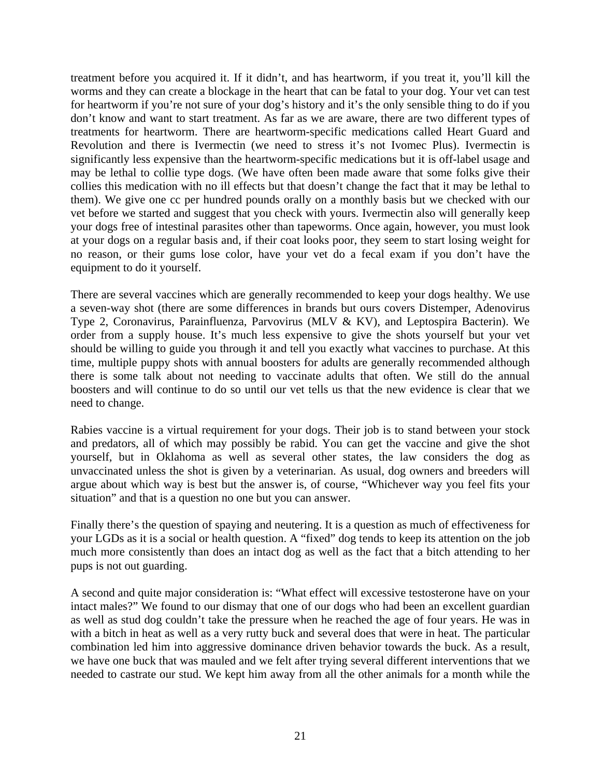treatment before you acquired it. If it didn't, and has heartworm, if you treat it, you'll kill the worms and they can create a blockage in the heart that can be fatal to your dog. Your vet can test for heartworm if you're not sure of your dog's history and it's the only sensible thing to do if you don't know and want to start treatment. As far as we are aware, there are two different types of treatments for heartworm. There are heartworm-specific medications called Heart Guard and Revolution and there is Ivermectin (we need to stress it's not Ivomec Plus). Ivermectin is significantly less expensive than the heartworm-specific medications but it is off-label usage and may be lethal to collie type dogs. (We have often been made aware that some folks give their collies this medication with no ill effects but that doesn't change the fact that it may be lethal to them). We give one cc per hundred pounds orally on a monthly basis but we checked with our vet before we started and suggest that you check with yours. Ivermectin also will generally keep your dogs free of intestinal parasites other than tapeworms. Once again, however, you must look at your dogs on a regular basis and, if their coat looks poor, they seem to start losing weight for no reason, or their gums lose color, have your vet do a fecal exam if you don't have the equipment to do it yourself.

There are several vaccines which are generally recommended to keep your dogs healthy. We use a seven-way shot (there are some differences in brands but ours covers Distemper, Adenovirus Type 2, Coronavirus, Parainfluenza, Parvovirus (MLV & KV), and Leptospira Bacterin). We order from a supply house. It's much less expensive to give the shots yourself but your vet should be willing to guide you through it and tell you exactly what vaccines to purchase. At this time, multiple puppy shots with annual boosters for adults are generally recommended although there is some talk about not needing to vaccinate adults that often. We still do the annual boosters and will continue to do so until our vet tells us that the new evidence is clear that we need to change.

Rabies vaccine is a virtual requirement for your dogs. Their job is to stand between your stock and predators, all of which may possibly be rabid. You can get the vaccine and give the shot yourself, but in Oklahoma as well as several other states, the law considers the dog as unvaccinated unless the shot is given by a veterinarian. As usual, dog owners and breeders will argue about which way is best but the answer is, of course, "Whichever way you feel fits your situation" and that is a question no one but you can answer.

Finally there's the question of spaying and neutering. It is a question as much of effectiveness for your LGDs as it is a social or health question. A "fixed" dog tends to keep its attention on the job much more consistently than does an intact dog as well as the fact that a bitch attending to her pups is not out guarding.

A second and quite major consideration is: "What effect will excessive testosterone have on your intact males?" We found to our dismay that one of our dogs who had been an excellent guardian as well as stud dog couldn't take the pressure when he reached the age of four years. He was in with a bitch in heat as well as a very rutty buck and several does that were in heat. The particular combination led him into aggressive dominance driven behavior towards the buck. As a result, we have one buck that was mauled and we felt after trying several different interventions that we needed to castrate our stud. We kept him away from all the other animals for a month while the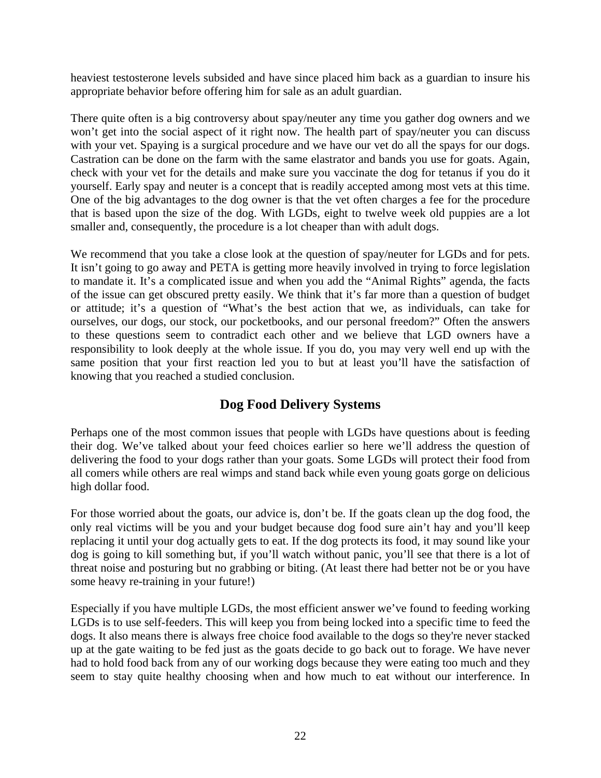<span id="page-21-0"></span>heaviest testosterone levels subsided and have since placed him back as a guardian to insure his appropriate behavior before offering him for sale as an adult guardian.

There quite often is a big controversy about spay/neuter any time you gather dog owners and we won't get into the social aspect of it right now. The health part of spay/neuter you can discuss with your vet. Spaying is a surgical procedure and we have our vet do all the spays for our dogs. Castration can be done on the farm with the same elastrator and bands you use for goats. Again, check with your vet for the details and make sure you vaccinate the dog for tetanus if you do it yourself. Early spay and neuter is a concept that is readily accepted among most vets at this time. One of the big advantages to the dog owner is that the vet often charges a fee for the procedure that is based upon the size of the dog. With LGDs, eight to twelve week old puppies are a lot smaller and, consequently, the procedure is a lot cheaper than with adult dogs.

We recommend that you take a close look at the question of spay/neuter for LGDs and for pets. It isn't going to go away and PETA is getting more heavily involved in trying to force legislation to mandate it. It's a complicated issue and when you add the "Animal Rights" agenda, the facts of the issue can get obscured pretty easily. We think that it's far more than a question of budget or attitude; it's a question of "What's the best action that we, as individuals, can take for ourselves, our dogs, our stock, our pocketbooks, and our personal freedom?" Often the answers to these questions seem to contradict each other and we believe that LGD owners have a responsibility to look deeply at the whole issue. If you do, you may very well end up with the same position that your first reaction led you to but at least you'll have the satisfaction of knowing that you reached a studied conclusion.

## **Dog Food Delivery Systems**

Perhaps one of the most common issues that people with LGDs have questions about is feeding their dog. We've talked about your feed choices earlier so here we'll address the question of delivering the food to your dogs rather than your goats. Some LGDs will protect their food from all comers while others are real wimps and stand back while even young goats gorge on delicious high dollar food.

For those worried about the goats, our advice is, don't be. If the goats clean up the dog food, the only real victims will be you and your budget because dog food sure ain't hay and you'll keep replacing it until your dog actually gets to eat. If the dog protects its food, it may sound like your dog is going to kill something but, if you'll watch without panic, you'll see that there is a lot of threat noise and posturing but no grabbing or biting. (At least there had better not be or you have some heavy re-training in your future!)

Especially if you have multiple LGDs, the most efficient answer we've found to feeding working LGDs is to use self-feeders. This will keep you from being locked into a specific time to feed the dogs. It also means there is always free choice food available to the dogs so they're never stacked up at the gate waiting to be fed just as the goats decide to go back out to forage. We have never had to hold food back from any of our working dogs because they were eating too much and they seem to stay quite healthy choosing when and how much to eat without our interference. In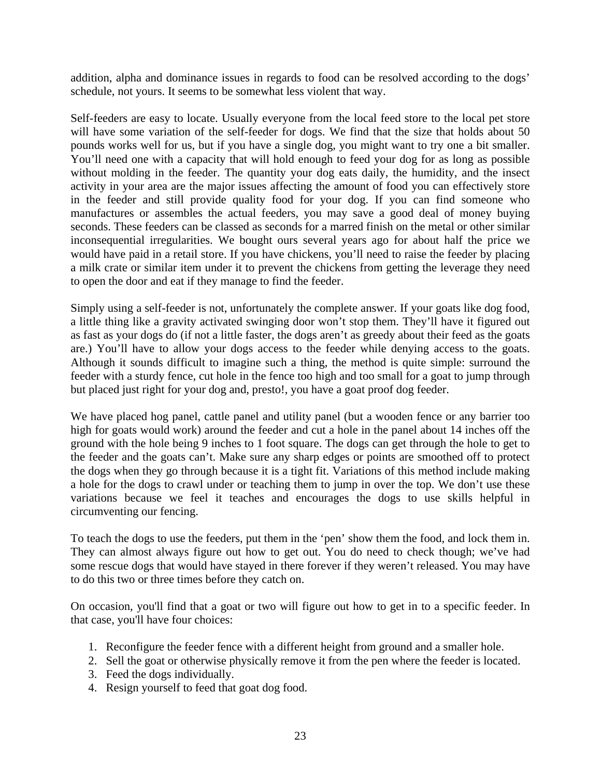addition, alpha and dominance issues in regards to food can be resolved according to the dogs' schedule, not yours. It seems to be somewhat less violent that way.

Self-feeders are easy to locate. Usually everyone from the local feed store to the local pet store will have some variation of the self-feeder for dogs. We find that the size that holds about 50 pounds works well for us, but if you have a single dog, you might want to try one a bit smaller. You'll need one with a capacity that will hold enough to feed your dog for as long as possible without molding in the feeder. The quantity your dog eats daily, the humidity, and the insect activity in your area are the major issues affecting the amount of food you can effectively store in the feeder and still provide quality food for your dog. If you can find someone who manufactures or assembles the actual feeders, you may save a good deal of money buying seconds. These feeders can be classed as seconds for a marred finish on the metal or other similar inconsequential irregularities. We bought ours several years ago for about half the price we would have paid in a retail store. If you have chickens, you'll need to raise the feeder by placing a milk crate or similar item under it to prevent the chickens from getting the leverage they need to open the door and eat if they manage to find the feeder.

Simply using a self-feeder is not, unfortunately the complete answer. If your goats like dog food, a little thing like a gravity activated swinging door won't stop them. They'll have it figured out as fast as your dogs do (if not a little faster, the dogs aren't as greedy about their feed as the goats are.) You'll have to allow your dogs access to the feeder while denying access to the goats. Although it sounds difficult to imagine such a thing, the method is quite simple: surround the feeder with a sturdy fence, cut hole in the fence too high and too small for a goat to jump through but placed just right for your dog and, presto!, you have a goat proof dog feeder.

We have placed hog panel, cattle panel and utility panel (but a wooden fence or any barrier too high for goats would work) around the feeder and cut a hole in the panel about 14 inches off the ground with the hole being 9 inches to 1 foot square. The dogs can get through the hole to get to the feeder and the goats can't. Make sure any sharp edges or points are smoothed off to protect the dogs when they go through because it is a tight fit. Variations of this method include making a hole for the dogs to crawl under or teaching them to jump in over the top. We don't use these variations because we feel it teaches and encourages the dogs to use skills helpful in circumventing our fencing.

To teach the dogs to use the feeders, put them in the 'pen' show them the food, and lock them in. They can almost always figure out how to get out. You do need to check though; we've had some rescue dogs that would have stayed in there forever if they weren't released. You may have to do this two or three times before they catch on.

On occasion, you'll find that a goat or two will figure out how to get in to a specific feeder. In that case, you'll have four choices:

- 1. Reconfigure the feeder fence with a different height from ground and a smaller hole.
- 2. Sell the goat or otherwise physically remove it from the pen where the feeder is located.
- 3. Feed the dogs individually.
- 4. Resign yourself to feed that goat dog food.